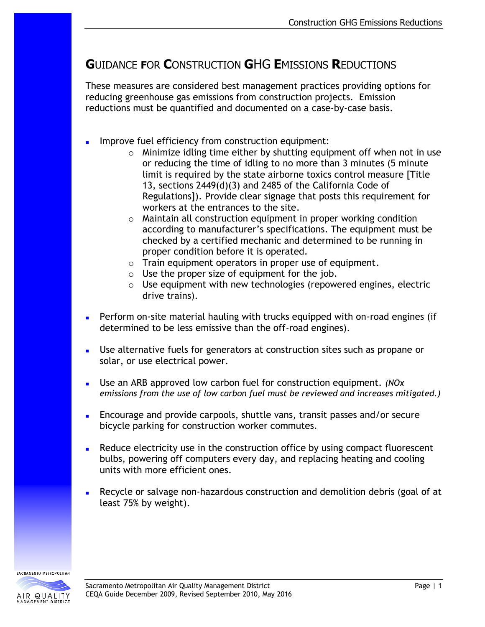## **G**UIDANCE **F**OR **C**ONSTRUCTION **G**HG **E**MISSIONS **R**EDUCTIONS

These measures are considered best management practices providing options for reducing greenhouse gas emissions from construction projects. Emission reductions must be quantified and documented on a case-by-case basis.

- Improve fuel efficiency from construction equipment:
	- o Minimize idling time either by shutting equipment off when not in use or reducing the time of idling to no more than 3 minutes (5 minute limit is required by the state airborne toxics control measure [Title 13, sections 2449(d)(3) and 2485 of the California Code of Regulations]). Provide clear signage that posts this requirement for workers at the entrances to the site.
	- o Maintain all construction equipment in proper working condition according to manufacturer's specifications. The equipment must be checked by a certified mechanic and determined to be running in proper condition before it is operated.
	- o Train equipment operators in proper use of equipment.
	- $\circ$  Use the proper size of equipment for the job.
	- o Use equipment with new technologies (repowered engines, electric drive trains).
- **Perform on-site material hauling with trucks equipped with on-road engines (if** determined to be less emissive than the off-road engines).
- Use alternative fuels for generators at construction sites such as propane or solar, or use electrical power.
- Use an ARB approved low carbon fuel for construction equipment. *(NOx emissions from the use of low carbon fuel must be reviewed and increases mitigated.)*
- Encourage and provide carpools, shuttle vans, transit passes and/or secure bicycle parking for construction worker commutes.
- **Reduce electricity use in the construction office by using compact fluorescent** bulbs, powering off computers every day, and replacing heating and cooling units with more efficient ones.
- Recycle or salvage non-hazardous construction and demolition debris (goal of at least 75% by weight).